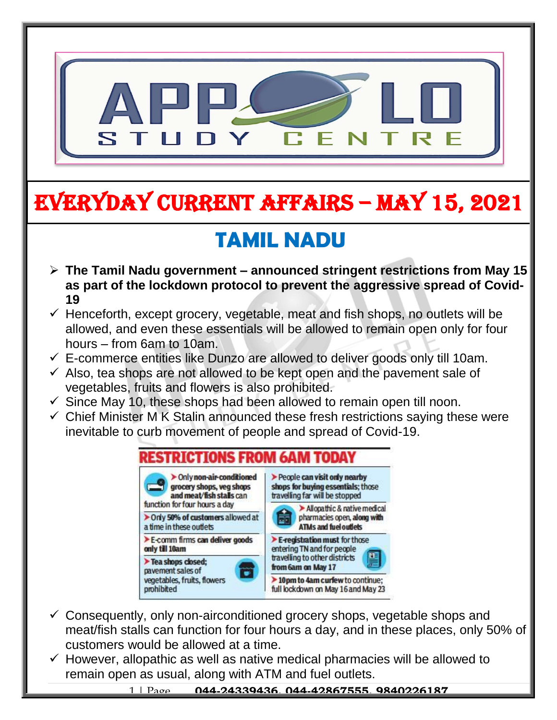

# EVERYDAY CURRENT AFFAIRS – MAY 15, 2021

# **TAMIL NADU**

-

- **The Tamil Nadu government – announced stringent restrictions from May 15 as part of the lockdown protocol to prevent the aggressive spread of Covid-19**
- $\checkmark$  Henceforth, except grocery, vegetable, meat and fish shops, no outlets will be allowed, and even these essentials will be allowed to remain open only for four hours – from 6am to 10am.
- $\checkmark$  E-commerce entities like Dunzo are allowed to deliver goods only till 10am.
- $\checkmark$  Also, tea shops are not allowed to be kept open and the pavement sale of vegetables, fruits and flowers is also prohibited.
- $\checkmark$  Since May 10, these shops had been allowed to remain open till noon.
- $\checkmark$  Chief Minister M K Stalin announced these fresh restrictions saying these were inevitable to curb movement of people and spread of Covid-19.

| > Only non-air-conditioned<br>grocery shops, veg shops<br>and meat/fish stalls can               | People can visit only nearby<br>shops for buying essentials; those<br>travelling far will be stopped                                     |
|--------------------------------------------------------------------------------------------------|------------------------------------------------------------------------------------------------------------------------------------------|
| function for four hours a day                                                                    | Allopathic & native medical                                                                                                              |
| > Only 50% of customers allowed at<br>a time in these outlets                                    | pharmacies open, along with<br><b>ATMs and fuel outlets</b>                                                                              |
| E-comm firms can deliver goods<br>only till 10am                                                 | $\blacktriangleright$ E-registration must for those<br>entering TN and for people<br>travelling to other districts<br>from 6am on May 17 |
| Tea shops closed;<br>pavement sales of<br>$\bullet$<br>vegetables, fruits, flowers<br>prohibited |                                                                                                                                          |
|                                                                                                  | > 10pm to 4am curfew to continue;<br>full lockdown on May 16 and May 23                                                                  |

- $\checkmark$  Consequently, only non-airconditioned grocery shops, vegetable shops and meat/fish stalls can function for four hours a day, and in these places, only 50% of customers would be allowed at a time.
- $\checkmark$  However, allopathic as well as native medical pharmacies will be allowed to remain open as usual, along with ATM and fuel outlets.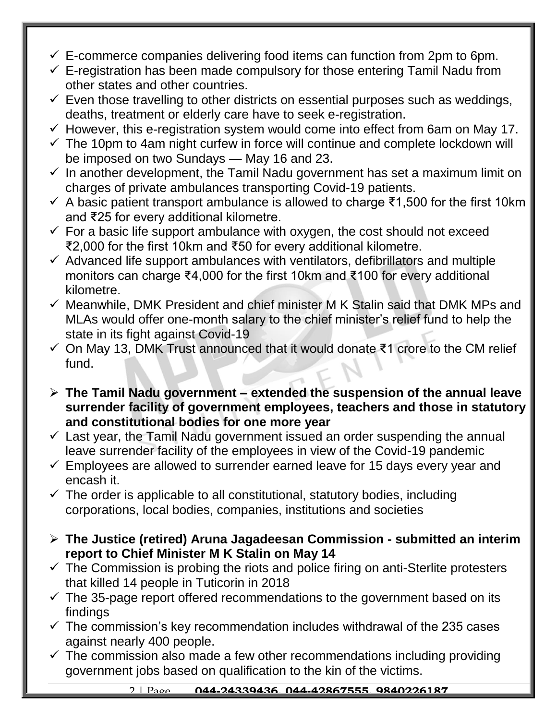- $\checkmark$  E-commerce companies delivering food items can function from 2pm to 6pm.
- $\checkmark$  E-registration has been made compulsory for those entering Tamil Nadu from other states and other countries.
- $\checkmark$  Even those travelling to other districts on essential purposes such as weddings, deaths, treatment or elderly care have to seek e-registration.
- $\checkmark$  However, this e-registration system would come into effect from 6am on May 17.
- $\checkmark$  The 10pm to 4am night curfew in force will continue and complete lockdown will be imposed on two Sundays — May 16 and 23.
- $\checkmark$  In another development, the Tamil Nadu government has set a maximum limit on charges of private ambulances transporting Covid-19 patients.
- $\checkmark$  A basic patient transport ambulance is allowed to charge ₹1,500 for the first 10km and ₹25 for every additional kilometre.
- $\checkmark$  For a basic life support ambulance with oxygen, the cost should not exceed ₹2,000 for the first 10km and ₹50 for every additional kilometre.
- $\checkmark$  Advanced life support ambulances with ventilators, defibrillators and multiple monitors can charge ₹4,000 for the first 10km and ₹100 for every additional kilometre.
- $\checkmark$  Meanwhile, DMK President and chief minister M K Stalin said that DMK MPs and MLAs would offer one-month salary to the chief minister's relief fund to help the state in its fight against Covid-19
- On May 13, DMK Trust announced that it would donate ₹1 crore to the CM relief fund.
- **The Tamil Nadu government – extended the suspension of the annual leave surrender facility of government employees, teachers and those in statutory and constitutional bodies for one more year**
- $\checkmark$  Last year, the Tamil Nadu government issued an order suspending the annual leave surrender facility of the employees in view of the Covid-19 pandemic
- $\checkmark$  Employees are allowed to surrender earned leave for 15 days every year and encash it.
- $\checkmark$  The order is applicable to all constitutional, statutory bodies, including corporations, local bodies, companies, institutions and societies
- **The Justice (retired) Aruna Jagadeesan Commission - submitted an interim report to Chief Minister M K Stalin on May 14**
- $\checkmark$  The Commission is probing the riots and police firing on anti-Sterlite protesters that killed 14 people in Tuticorin in 2018
- $\checkmark$  The 35-page report offered recommendations to the government based on its findings
- $\checkmark$  The commission's key recommendation includes withdrawal of the 235 cases against nearly 400 people.
- $\checkmark$  The commission also made a few other recommendations including providing government jobs based on qualification to the kin of the victims.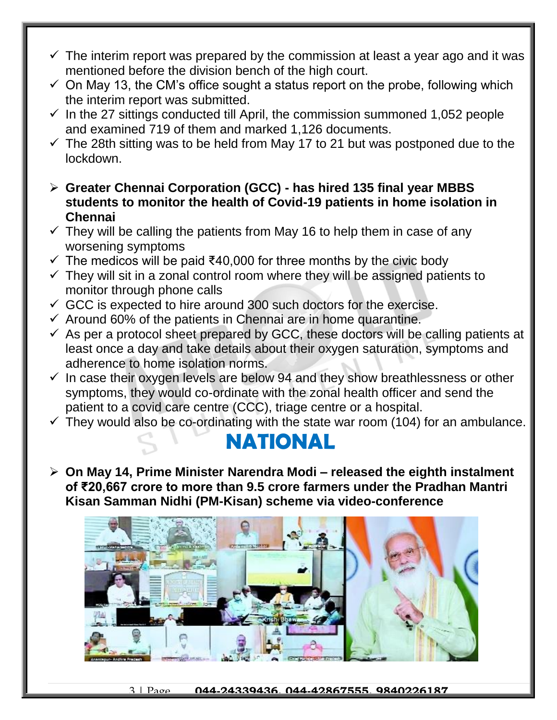- $\checkmark$  The interim report was prepared by the commission at least a year ago and it was mentioned before the division bench of the high court.
- $\checkmark$  On May 13, the CM's office sought a status report on the probe, following which the interim report was submitted.
- $\checkmark$  In the 27 sittings conducted till April, the commission summoned 1,052 people and examined 719 of them and marked 1,126 documents.
- $\checkmark$  The 28th sitting was to be held from May 17 to 21 but was postponed due to the lockdown.
- **Greater Chennai Corporation (GCC) - has hired 135 final year MBBS students to monitor the health of Covid-19 patients in home isolation in Chennai**
- $\checkmark$  They will be calling the patients from May 16 to help them in case of any worsening symptoms
- $\checkmark$  The medicos will be paid ₹40,000 for three months by the civic body
- $\checkmark$  They will sit in a zonal control room where they will be assigned patients to monitor through phone calls
- $\checkmark$  GCC is expected to hire around 300 such doctors for the exercise.
- $\checkmark$  Around 60% of the patients in Chennai are in home quarantine.
- $\checkmark$  As per a protocol sheet prepared by GCC, these doctors will be calling patients at least once a day and take details about their oxygen saturation, symptoms and adherence to home isolation norms.
- $\checkmark$  In case their oxygen levels are below 94 and they show breathlessness or other symptoms, they would co-ordinate with the zonal health officer and send the patient to a covid care centre (CCC), triage centre or a hospital.
- $\checkmark$  They would also be co-ordinating with the state war room (104) for an ambulance.

#### **NATIONAL**

 **On May 14, Prime Minister Narendra Modi – released the eighth instalment of ₹20,667 crore to more than 9.5 crore farmers under the Pradhan Mantri Kisan Samman Nidhi (PM-Kisan) scheme via video-conference**

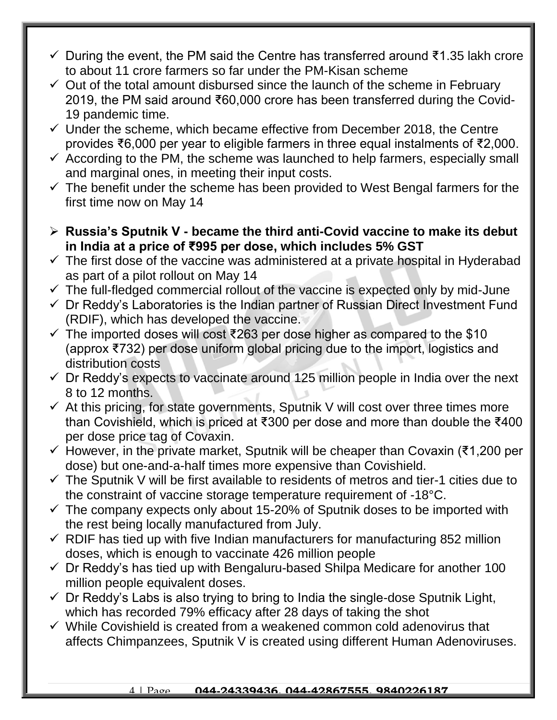- During the event, the PM said the Centre has transferred around ₹1.35 lakh crore to about 11 crore farmers so far under the PM-Kisan scheme
- $\checkmark$  Out of the total amount disbursed since the launch of the scheme in February 2019, the PM said around ₹60,000 crore has been transferred during the Covid-19 pandemic time.
- $\checkmark$  Under the scheme, which became effective from December 2018, the Centre provides ₹6,000 per year to eligible farmers in three equal instalments of ₹2,000.
- $\checkmark$  According to the PM, the scheme was launched to help farmers, especially small and marginal ones, in meeting their input costs.
- $\checkmark$  The benefit under the scheme has been provided to West Bengal farmers for the first time now on May 14
- **Russia's Sputnik V - became the third anti-Covid vaccine to make its debut in India at a price of ₹995 per dose, which includes 5% GST**
- $\checkmark$  The first dose of the vaccine was administered at a private hospital in Hyderabad as part of a pilot rollout on May 14
- $\checkmark$  The full-fledged commercial rollout of the vaccine is expected only by mid-June
- $\checkmark$  Dr Reddy's Laboratories is the Indian partner of Russian Direct Investment Fund (RDIF), which has developed the vaccine.
- $\checkmark$  The imported doses will cost ₹263 per dose higher as compared to the \$10 (approx ₹732) per dose uniform global pricing due to the import, logistics and distribution costs
- $\checkmark$  Dr Reddy's expects to vaccinate around 125 million people in India over the next 8 to 12 months.
- $\checkmark$  At this pricing, for state governments, Sputnik V will cost over three times more than Covishield, which is priced at ₹300 per dose and more than double the ₹400 per dose price tag of Covaxin.
- $\checkmark$  However, in the private market, Sputnik will be cheaper than Covaxin (₹1,200 per dose) but one-and-a-half times more expensive than Covishield.
- $\checkmark$  The Sputnik V will be first available to residents of metros and tier-1 cities due to the constraint of vaccine storage temperature requirement of -18°C.
- $\checkmark$  The company expects only about 15-20% of Sputnik doses to be imported with the rest being locally manufactured from July.
- $\checkmark$  RDIF has tied up with five Indian manufacturers for manufacturing 852 million doses, which is enough to vaccinate 426 million people
- $\checkmark$  Dr Reddy's has tied up with Bengaluru-based Shilpa Medicare for another 100 million people equivalent doses.
- $\checkmark$  Dr Reddy's Labs is also trying to bring to India the single-dose Sputnik Light, which has recorded 79% efficacy after 28 days of taking the shot
- $\checkmark$  While Covishield is created from a weakened common cold adenovirus that affects Chimpanzees, Sputnik V is created using different Human Adenoviruses.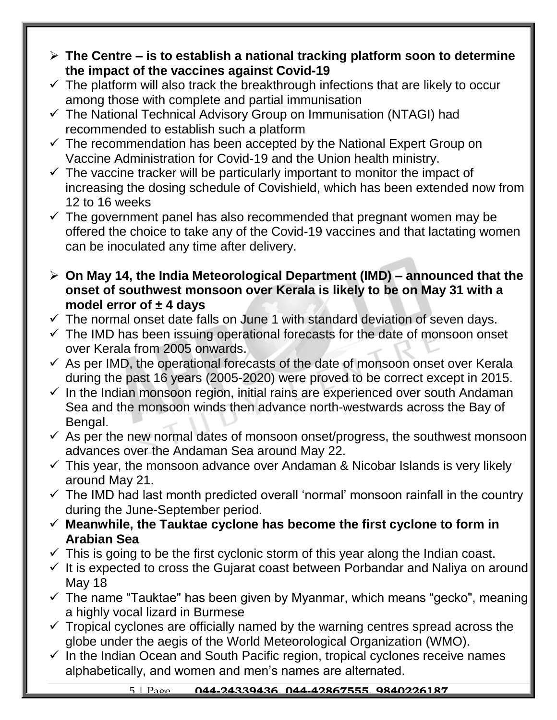- **The Centre – is to establish a national tracking platform soon to determine the impact of the vaccines against Covid-19**
- $\checkmark$  The platform will also track the breakthrough infections that are likely to occur among those with complete and partial immunisation
- $\checkmark$  The National Technical Advisory Group on Immunisation (NTAGI) had recommended to establish such a platform
- $\checkmark$  The recommendation has been accepted by the National Expert Group on Vaccine Administration for Covid-19 and the Union health ministry.
- $\checkmark$  The vaccine tracker will be particularly important to monitor the impact of increasing the dosing schedule of Covishield, which has been extended now from 12 to 16 weeks
- $\checkmark$  The government panel has also recommended that pregnant women may be offered the choice to take any of the Covid-19 vaccines and that lactating women can be inoculated any time after delivery.
- **On May 14, the India Meteorological Department (IMD) – announced that the onset of southwest monsoon over Kerala is likely to be on May 31 with a model error of ± 4 days**
- $\checkmark$  The normal onset date falls on June 1 with standard deviation of seven days.
- $\checkmark$  The IMD has been issuing operational forecasts for the date of monsoon onset over Kerala from 2005 onwards.
- $\checkmark$  As per IMD, the operational forecasts of the date of monsoon onset over Kerala during the past 16 years (2005-2020) were proved to be correct except in 2015.
- $\checkmark$  In the Indian monsoon region, initial rains are experienced over south Andaman Sea and the monsoon winds then advance north-westwards across the Bay of Bengal.
- $\checkmark$  As per the new normal dates of monsoon onset/progress, the southwest monsoon advances over the Andaman Sea around May 22.
- $\checkmark$  This year, the monsoon advance over Andaman & Nicobar Islands is very likely around May 21.
- $\checkmark$  The IMD had last month predicted overall 'normal' monsoon rainfall in the country during the June-September period.
- **Meanwhile, the Tauktae cyclone has become the first cyclone to form in Arabian Sea**
- $\checkmark$  This is going to be the first cyclonic storm of this year along the Indian coast.
- $\checkmark$  It is expected to cross the Gujarat coast between Porbandar and Naliya on around May 18
- $\checkmark$  The name "Tauktae" has been given by Myanmar, which means "gecko", meaning a highly vocal lizard in Burmese
- $\checkmark$  Tropical cyclones are officially named by the warning centres spread across the globe under the aegis of the World Meteorological Organization (WMO).
- $\checkmark$  In the Indian Ocean and South Pacific region, tropical cyclones receive names alphabetically, and women and men's names are alternated.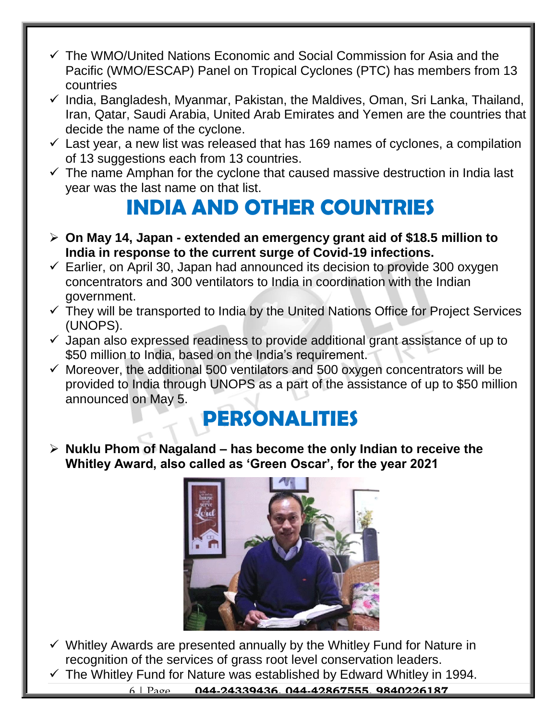- $\checkmark$  The WMO/United Nations Economic and Social Commission for Asia and the Pacific (WMO/ESCAP) Panel on Tropical Cyclones (PTC) has members from 13 countries
- $\checkmark$  India, Bangladesh, Myanmar, Pakistan, the Maldives, Oman, Sri Lanka, Thailand, Iran, Qatar, Saudi Arabia, United Arab Emirates and Yemen are the countries that decide the name of the cyclone.
- $\checkmark$  Last year, a new list was released that has 169 names of cyclones, a compilation of 13 suggestions each from 13 countries.
- $\checkmark$  The name Amphan for the cyclone that caused massive destruction in India last year was the last name on that list.

### **INDIA AND OTHER COUNTRIES**

- **On May 14, Japan - extended an emergency grant aid of \$18.5 million to India in response to the current surge of Covid-19 infections.**
- $\checkmark$  Earlier, on April 30, Japan had announced its decision to provide 300 oxygen concentrators and 300 ventilators to India in coordination with the Indian government.
- $\checkmark$  They will be transported to India by the United Nations Office for Project Services (UNOPS).
- $\checkmark$  Japan also expressed readiness to provide additional grant assistance of up to \$50 million to India, based on the India's requirement.
- $\checkmark$  Moreover, the additional 500 ventilators and 500 oxygen concentrators will be provided to India through UNOPS as a part of the assistance of up to \$50 million announced on May 5.

#### **PERSONALITIES**

 **Nuklu Phom of Nagaland – has become the only Indian to receive the Whitley Award, also called as 'Green Oscar', for the year 2021**



- $\checkmark$  Whitley Awards are presented annually by the Whitley Fund for Nature in recognition of the services of grass root level conservation leaders.
- $\checkmark$  The Whitley Fund for Nature was established by Edward Whitley in 1994.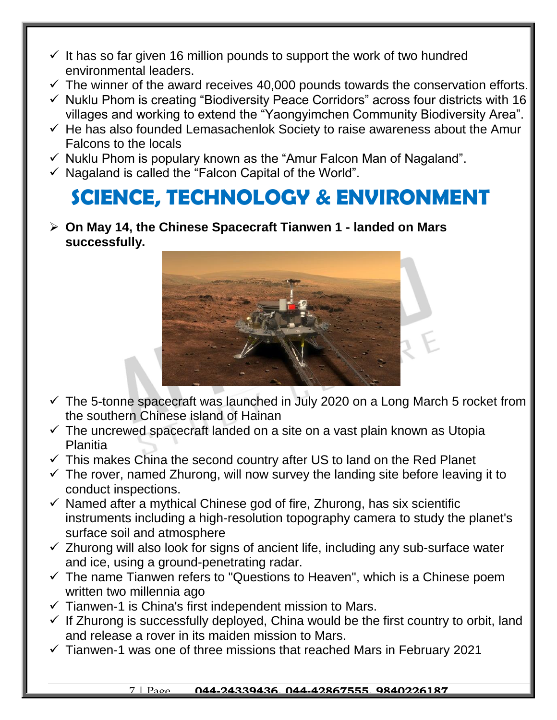- $\checkmark$  It has so far given 16 million pounds to support the work of two hundred environmental leaders.
- $\checkmark$  The winner of the award receives 40,000 pounds towards the conservation efforts.
- $\checkmark$  Nuklu Phom is creating "Biodiversity Peace Corridors" across four districts with 16 villages and working to extend the "Yaongyimchen Community Biodiversity Area".
- $\checkmark$  He has also founded Lemasachenlok Society to raise awareness about the Amur Falcons to the locals
- $\checkmark$  Nuklu Phom is populary known as the "Amur Falcon Man of Nagaland".
- $\checkmark$  Nagaland is called the "Falcon Capital of the World".

## **SCIENCE, TECHNOLOGY & ENVIRONMENT**

 **On May 14, the Chinese Spacecraft Tianwen 1 - landed on Mars successfully.** 



- $\checkmark$  The 5-tonne spacecraft was launched in July 2020 on a Long March 5 rocket from the southern Chinese island of Hainan
- $\checkmark$  The uncrewed spacecraft landed on a site on a vast plain known as Utopia Planitia
- $\checkmark$  This makes China the second country after US to land on the Red Planet
- $\checkmark$  The rover, named Zhurong, will now survey the landing site before leaving it to conduct inspections.
- $\checkmark$  Named after a mythical Chinese god of fire, Zhurong, has six scientific instruments including a high-resolution topography camera to study the planet's surface soil and atmosphere
- $\checkmark$  Zhurong will also look for signs of ancient life, including any sub-surface water and ice, using a ground-penetrating radar.
- $\checkmark$  The name Tianwen refers to "Questions to Heaven", which is a Chinese poem written two millennia ago
- $\checkmark$  Tianwen-1 is China's first independent mission to Mars.
- $\checkmark$  If Zhurong is successfully deployed, China would be the first country to orbit, land and release a rover in its maiden mission to Mars.
- $\checkmark$  Tianwen-1 was one of three missions that reached Mars in February 2021